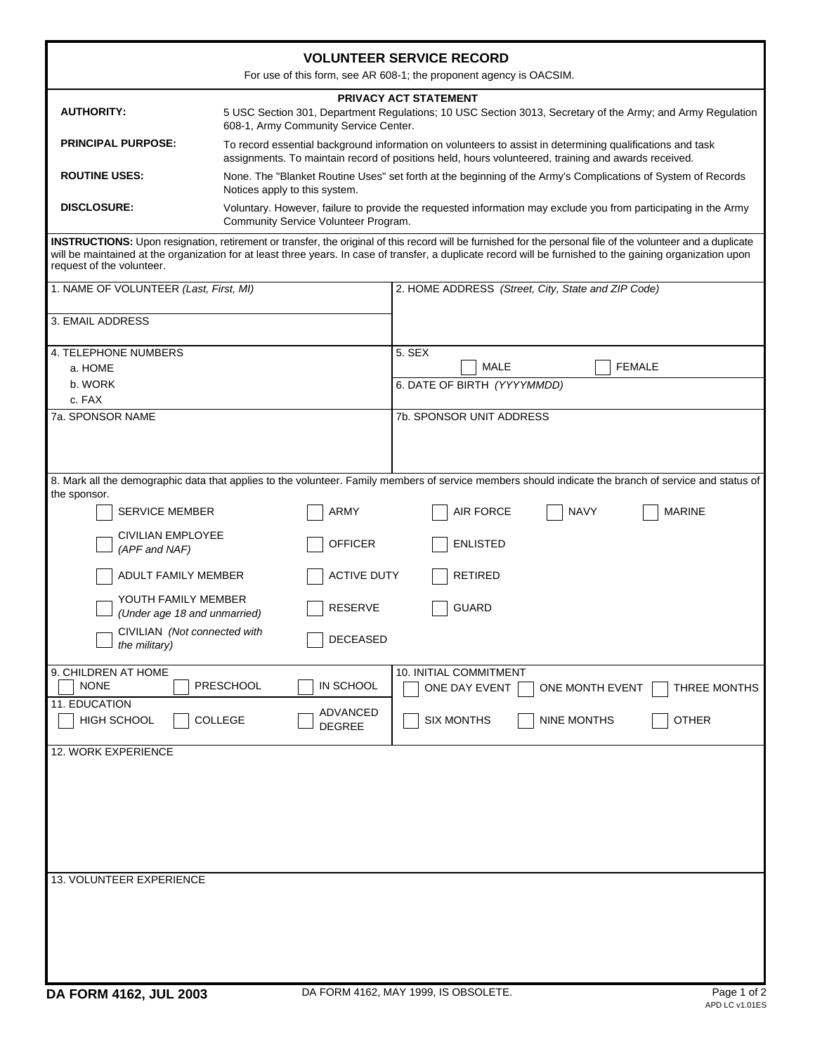| <b>VOLUNTEER SERVICE RECORD</b><br>For use of this form, see AR 608-1; the proponent agency is OACSIM.                                                                                                                                                                                                                                                   |                                       |                                                                                                                                                                                                                  |  |  |
|----------------------------------------------------------------------------------------------------------------------------------------------------------------------------------------------------------------------------------------------------------------------------------------------------------------------------------------------------------|---------------------------------------|------------------------------------------------------------------------------------------------------------------------------------------------------------------------------------------------------------------|--|--|
| <b>AUTHORITY:</b>                                                                                                                                                                                                                                                                                                                                        | 608-1, Army Community Service Center. | PRIVACY ACT STATEMENT<br>5 USC Section 301, Department Regulations; 10 USC Section 3013, Secretary of the Army; and Army Regulation                                                                              |  |  |
| <b>PRINCIPAL PURPOSE:</b>                                                                                                                                                                                                                                                                                                                                |                                       | To record essential background information on volunteers to assist in determining qualifications and task<br>assignments. To maintain record of positions held, hours volunteered, training and awards received. |  |  |
| <b>ROUTINE USES:</b>                                                                                                                                                                                                                                                                                                                                     | Notices apply to this system.         | None. The "Blanket Routine Uses" set forth at the beginning of the Army's Complications of System of Records                                                                                                     |  |  |
| <b>DISCLOSURE:</b>                                                                                                                                                                                                                                                                                                                                       | Community Service Volunteer Program.  | Voluntary. However, failure to provide the requested information may exclude you from participating in the Army                                                                                                  |  |  |
| INSTRUCTIONS: Upon resignation, retirement or transfer, the original of this record will be furnished for the personal file of the volunteer and a duplicate<br>will be maintained at the organization for at least three years. In case of transfer, a duplicate record will be furnished to the gaining organization upon<br>request of the volunteer. |                                       |                                                                                                                                                                                                                  |  |  |
| 1. NAME OF VOLUNTEER (Last, First, MI)                                                                                                                                                                                                                                                                                                                   |                                       | 2. HOME ADDRESS (Street, City, State and ZIP Code)                                                                                                                                                               |  |  |
| 3. EMAIL ADDRESS                                                                                                                                                                                                                                                                                                                                         |                                       |                                                                                                                                                                                                                  |  |  |
| 4. TELEPHONE NUMBERS<br>a. HOME                                                                                                                                                                                                                                                                                                                          |                                       | 5. SEX<br>MALE<br><b>FEMALE</b>                                                                                                                                                                                  |  |  |
| b. WORK                                                                                                                                                                                                                                                                                                                                                  |                                       | 6. DATE OF BIRTH (YYYYMMDD)                                                                                                                                                                                      |  |  |
| c. FAX<br>7a. SPONSOR NAME                                                                                                                                                                                                                                                                                                                               |                                       | 7b. SPONSOR UNIT ADDRESS                                                                                                                                                                                         |  |  |
|                                                                                                                                                                                                                                                                                                                                                          |                                       |                                                                                                                                                                                                                  |  |  |
|                                                                                                                                                                                                                                                                                                                                                          |                                       | 8. Mark all the demographic data that applies to the volunteer. Family members of service members should indicate the branch of service and status of                                                            |  |  |
| the sponsor.<br><b>SERVICE MEMBER</b>                                                                                                                                                                                                                                                                                                                    | <b>ARMY</b>                           | <b>MARINE</b><br><b>AIR FORCE</b><br><b>NAVY</b>                                                                                                                                                                 |  |  |
| <b>CIVILIAN EMPLOYEE</b><br>(APF and NAF)                                                                                                                                                                                                                                                                                                                | <b>OFFICER</b>                        | <b>ENLISTED</b>                                                                                                                                                                                                  |  |  |
| ADULT FAMILY MEMBER                                                                                                                                                                                                                                                                                                                                      | <b>ACTIVE DUTY</b>                    | <b>RETIRED</b>                                                                                                                                                                                                   |  |  |
| YOUTH FAMILY MEMBER<br>(Under age 18 and unmarried)                                                                                                                                                                                                                                                                                                      | <b>RESERVE</b>                        | <b>GUARD</b>                                                                                                                                                                                                     |  |  |
| CIVILIAN (Not connected with<br>the military)                                                                                                                                                                                                                                                                                                            | DECEASED                              |                                                                                                                                                                                                                  |  |  |
| 9. CHILDREN AT HOME<br><b>NONE</b>                                                                                                                                                                                                                                                                                                                       | PRESCHOOL<br>IN SCHOOL                | 10. INITIAL COMMITMENT<br>ONE DAY EVENT<br>THREE MONTHS<br>ONE MONTH EVENT                                                                                                                                       |  |  |
| 11. EDUCATION<br>HIGH SCHOOL                                                                                                                                                                                                                                                                                                                             | ADVANCED<br>COLLEGE<br><b>DEGREE</b>  | <b>SIX MONTHS</b><br><b>NINE MONTHS</b><br><b>OTHER</b>                                                                                                                                                          |  |  |
| 12. WORK EXPERIENCE                                                                                                                                                                                                                                                                                                                                      |                                       |                                                                                                                                                                                                                  |  |  |
|                                                                                                                                                                                                                                                                                                                                                          |                                       |                                                                                                                                                                                                                  |  |  |
|                                                                                                                                                                                                                                                                                                                                                          |                                       |                                                                                                                                                                                                                  |  |  |
|                                                                                                                                                                                                                                                                                                                                                          |                                       |                                                                                                                                                                                                                  |  |  |
|                                                                                                                                                                                                                                                                                                                                                          |                                       |                                                                                                                                                                                                                  |  |  |
| 13. VOLUNTEER EXPERIENCE                                                                                                                                                                                                                                                                                                                                 |                                       |                                                                                                                                                                                                                  |  |  |
|                                                                                                                                                                                                                                                                                                                                                          |                                       |                                                                                                                                                                                                                  |  |  |
|                                                                                                                                                                                                                                                                                                                                                          |                                       |                                                                                                                                                                                                                  |  |  |
|                                                                                                                                                                                                                                                                                                                                                          |                                       |                                                                                                                                                                                                                  |  |  |
|                                                                                                                                                                                                                                                                                                                                                          |                                       |                                                                                                                                                                                                                  |  |  |